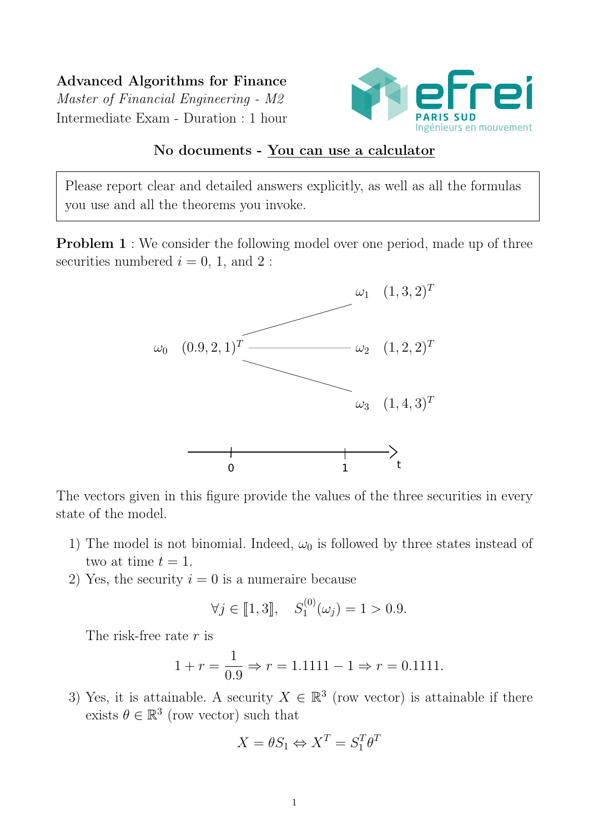Advanced Algorithms for Finance Master of Financial Engineering - M2 Intermediate Exam - Duration : 1 hour



## No documents - You can use a calculator

Please report clear and detailed answers explicitly, as well as all the formulas you use and all the theorems you invoke.

**Problem 1** : We consider the following model over one period, made up of three securities numbered  $i = 0, 1,$  and 2:



The vectors given in this figure provide the values of the three securities in every state of the model.

- 1) The model is not binomial. Indeed,  $\omega_0$  is followed by three states instead of two at time  $t = 1$ .
- 2) Yes, the security  $i = 0$  is a numeraire because

$$
\forall j \in [1,3], \quad S_1^{(0)}(\omega_j) = 1 > 0.9.
$$

The risk-free rate  $r$  is

$$
1 + r = \frac{1}{0.9} \Rightarrow r = 1.1111 - 1 \Rightarrow r = 0.1111.
$$

3) Yes, it is attainable. A security  $X \in \mathbb{R}^3$  (row vector) is attainable if there exists  $\theta \in \mathbb{R}^3$  (row vector) such that

$$
X = \theta S_1 \Leftrightarrow X^T = S_1^T \theta^T
$$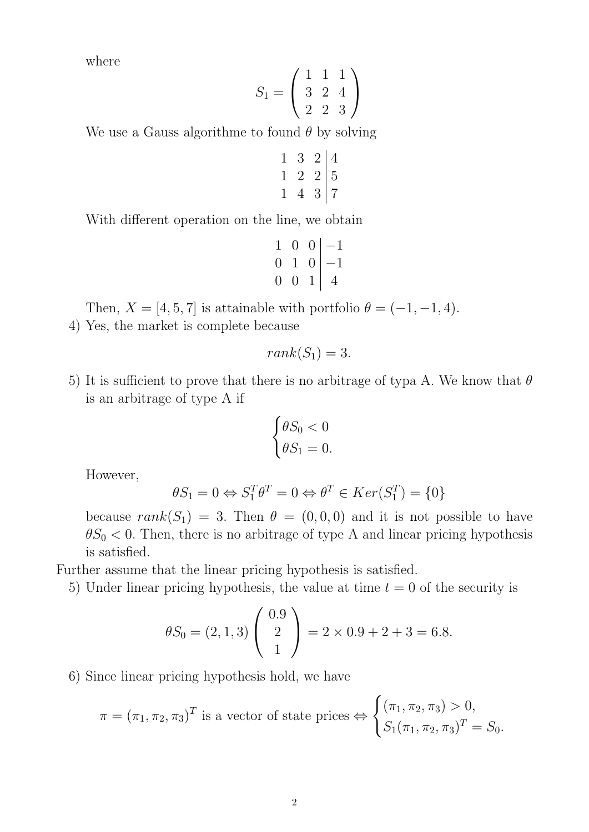where

$$
S_1 = \left(\begin{array}{rrr} 1 & 1 & 1 \\ 3 & 2 & 4 \\ 2 & 2 & 3 \end{array}\right)
$$

We use a Gauss algorithme to found  $\theta$  by solving

$$
\begin{array}{ccc|c}\n1 & 3 & 2 & 4 \\
1 & 2 & 2 & 5 \\
1 & 4 & 3 & 7\n\end{array}
$$

With different operation on the line, we obtain

$$
\begin{array}{ccc|c}\n1 & 0 & 0 & -1 \\
0 & 1 & 0 & -1 \\
0 & 0 & 1 & 4\n\end{array}
$$

Then,  $X = \begin{bmatrix} 4, 5, 7 \end{bmatrix}$  is attainable with portfolio  $\theta = (-1, -1, 4)$ .

4) Yes, the market is complete because

$$
rank(S_1)=3.
$$

5) It is sufficient to prove that there is no arbitrage of typa A. We know that  $\theta$ is an arbitrage of type A if

$$
\begin{cases} \theta S_0 < 0 \\ \theta S_1 = 0. \end{cases}
$$

However,

$$
\theta S_1 = 0 \Leftrightarrow S_1^T \theta^T = 0 \Leftrightarrow \theta^T \in Ker(S_1^T) = \{0\}
$$

because  $rank(S_1) = 3$ . Then  $\theta = (0, 0, 0)$  and it is not possible to have  $\theta S_0 < 0$ . Then, there is no arbitrage of type A and linear pricing hypothesis is satisfied.

Further assume that the linear pricing hypothesis is satisfied.

5) Under linear pricing hypothesis, the value at time  $t = 0$  of the security is

$$
\theta S_0 = (2, 1, 3) \begin{pmatrix} 0.9 \\ 2 \\ 1 \end{pmatrix} = 2 \times 0.9 + 2 + 3 = 6.8.
$$

6) Since linear pricing hypothesis hold, we have

$$
\pi = (\pi_1, \pi_2, \pi_3)^T
$$
 is a vector of state prices  $\Leftrightarrow \begin{cases} (\pi_1, \pi_2, \pi_3) > 0, \\ S_1(\pi_1, \pi_2, \pi_3)^T = S_0. \end{cases}$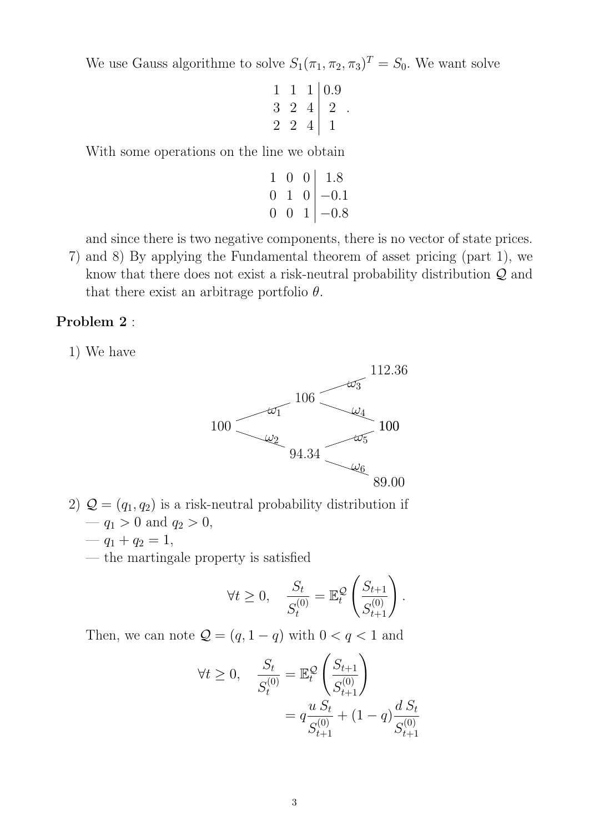We use Gauss algorithme to solve  $S_1(\pi_1, \pi_2, \pi_3)^T = S_0$ . We want solve

$$
\begin{array}{ccc|c}\n1 & 1 & 1 & 0.9 \\
3 & 2 & 4 & 2 \\
2 & 2 & 4 & 1\n\end{array}
$$

.

With some operations on the line we obtain

$$
\begin{array}{ccc|c}\n1 & 0 & 0 & 1.8 \\
0 & 1 & 0 & -0.1 \\
0 & 0 & 1 & -0.8\n\end{array}
$$

and since there is two negative components, there is no vector of state prices.

7) and 8) By applying the Fundamental theorem of asset pricing (part 1), we know that there does not exist a risk-neutral probability distribution Q and that there exist an arbitrage portfolio  $\theta$ .

## Problem 2 :

1) We have



- 2)  $Q = (q_1, q_2)$  is a risk-neutral probability distribution if  $- q_1 > 0$  and  $q_2 > 0$ ,
	- $q_1 + q_2 = 1$ ,
	- the martingale property is satisfied

$$
\forall t \geq 0, \quad \frac{S_t}{S_t^{(0)}} = \mathbb{E}_t^{\mathcal{Q}} \left( \frac{S_{t+1}}{S_{t+1}^{(0)}} \right).
$$

Then, we can note  $\mathcal{Q} = (q, 1 - q)$  with  $0 < q < 1$  and

$$
\forall t \ge 0, \quad \frac{S_t}{S_t^{(0)}} = \mathbb{E}_t^{\mathcal{Q}} \left( \frac{S_{t+1}}{S_{t+1}^{(0)}} \right)
$$

$$
= q \frac{u S_t}{S_{t+1}^{(0)}} + (1-q) \frac{d S_t}{S_{t+1}^{(0)}}
$$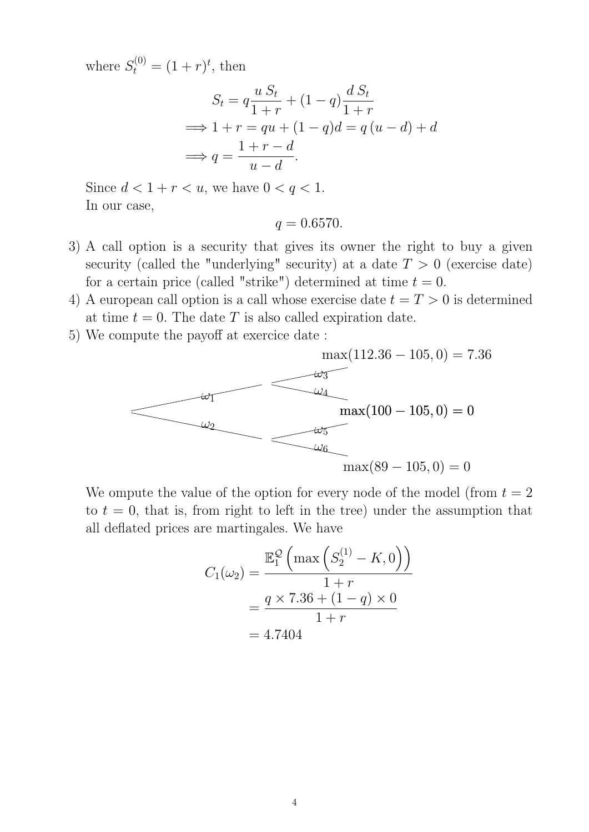where  $S_t^{(0)} = (1+r)^t$ , then

$$
S_t = q \frac{u S_t}{1+r} + (1-q) \frac{d S_t}{1+r}
$$
  
\n
$$
\implies 1+r = qu + (1-q)d = q(u-d) + d
$$
  
\n
$$
\implies q = \frac{1+r-d}{u-d}.
$$

Since  $d < 1 + r < u$ , we have  $0 < q < 1$ . In our case,

$$
q=0.6570.
$$

- 3) A call option is a security that gives its owner the right to buy a given security (called the "underlying" security) at a date  $T > 0$  (exercise date) for a certain price (called "strike") determined at time  $t = 0$ .
- 4) A european call option is a call whose exercise date  $t = T > 0$  is determined at time  $t = 0$ . The date T is also called expiration date.
- 5) We compute the payoff at exercice date :



We ompute the value of the option for every node of the model (from  $t = 2$ ) to  $t = 0$ , that is, from right to left in the tree) under the assumption that all deflated prices are martingales. We have

$$
C_1(\omega_2) = \frac{\mathbb{E}_1^{\mathcal{Q}}\left(\max\left(S_2^{(1)} - K, 0\right)\right)}{1+r}
$$
  
= 
$$
\frac{q \times 7.36 + (1 - q) \times 0}{1 + r}
$$
  
= 4.7404